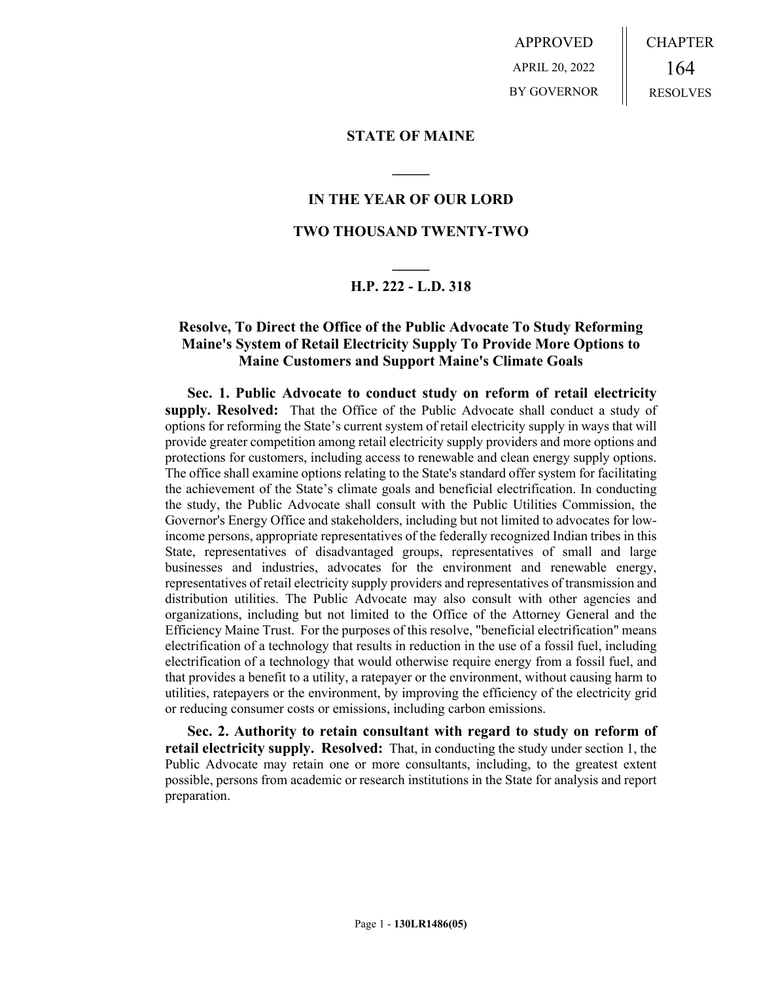APPROVED APRIL 20, 2022 BY GOVERNOR CHAPTER 164 RESOLVES

## **STATE OF MAINE**

## **IN THE YEAR OF OUR LORD**

**\_\_\_\_\_**

## **TWO THOUSAND TWENTY-TWO**

# **\_\_\_\_\_ H.P. 222 - L.D. 318**

## **Resolve, To Direct the Office of the Public Advocate To Study Reforming Maine's System of Retail Electricity Supply To Provide More Options to Maine Customers and Support Maine's Climate Goals**

**Sec. 1. Public Advocate to conduct study on reform of retail electricity supply. Resolved:** That the Office of the Public Advocate shall conduct a study of options for reforming the State's current system of retail electricity supply in ways that will provide greater competition among retail electricity supply providers and more options and protections for customers, including access to renewable and clean energy supply options. The office shall examine options relating to the State's standard offer system for facilitating the achievement of the State's climate goals and beneficial electrification. In conducting the study, the Public Advocate shall consult with the Public Utilities Commission, the Governor's Energy Office and stakeholders, including but not limited to advocates for lowincome persons, appropriate representatives of the federally recognized Indian tribes in this State, representatives of disadvantaged groups, representatives of small and large businesses and industries, advocates for the environment and renewable energy, representatives of retail electricity supply providers and representatives of transmission and distribution utilities. The Public Advocate may also consult with other agencies and organizations, including but not limited to the Office of the Attorney General and the Efficiency Maine Trust. For the purposes of this resolve, "beneficial electrification" means electrification of a technology that results in reduction in the use of a fossil fuel, including electrification of a technology that would otherwise require energy from a fossil fuel, and that provides a benefit to a utility, a ratepayer or the environment, without causing harm to utilities, ratepayers or the environment, by improving the efficiency of the electricity grid or reducing consumer costs or emissions, including carbon emissions.

**Sec. 2. Authority to retain consultant with regard to study on reform of retail electricity supply. Resolved:** That, in conducting the study under section 1, the Public Advocate may retain one or more consultants, including, to the greatest extent possible, persons from academic or research institutions in the State for analysis and report preparation.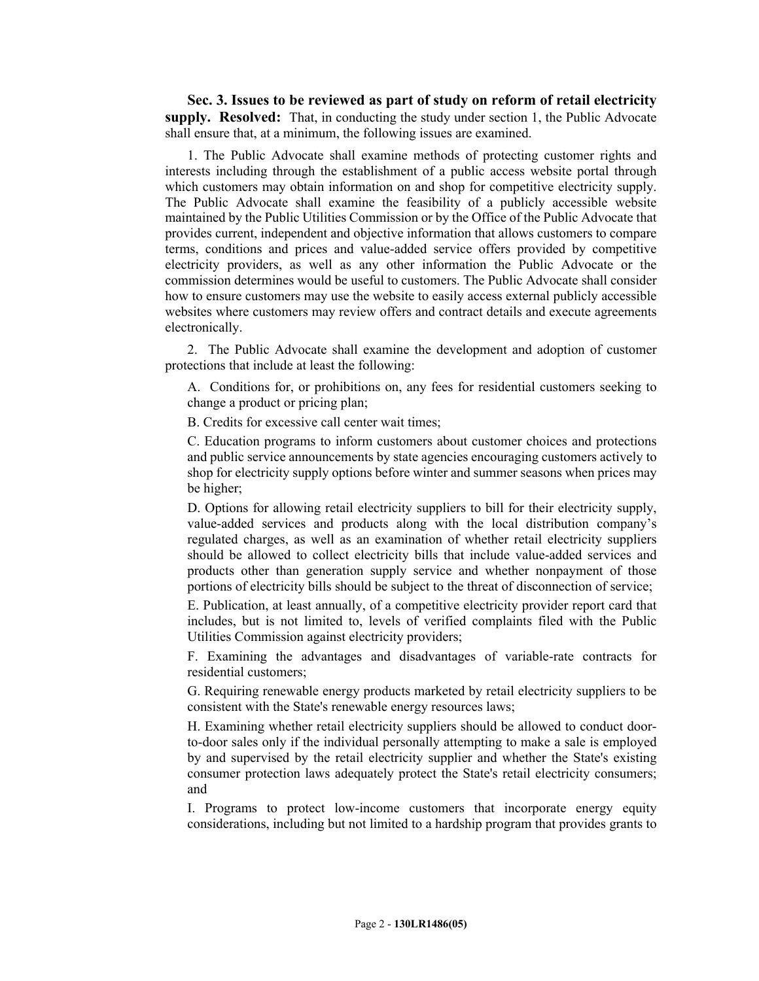**Sec. 3. Issues to be reviewed as part of study on reform of retail electricity supply. Resolved:** That, in conducting the study under section 1, the Public Advocate shall ensure that, at a minimum, the following issues are examined.

1. The Public Advocate shall examine methods of protecting customer rights and interests including through the establishment of a public access website portal through which customers may obtain information on and shop for competitive electricity supply. The Public Advocate shall examine the feasibility of a publicly accessible website maintained by the Public Utilities Commission or by the Office of the Public Advocate that provides current, independent and objective information that allows customers to compare terms, conditions and prices and value-added service offers provided by competitive electricity providers, as well as any other information the Public Advocate or the commission determines would be useful to customers. The Public Advocate shall consider how to ensure customers may use the website to easily access external publicly accessible websites where customers may review offers and contract details and execute agreements electronically.

2. The Public Advocate shall examine the development and adoption of customer protections that include at least the following:

A. Conditions for, or prohibitions on, any fees for residential customers seeking to change a product or pricing plan;

B. Credits for excessive call center wait times;

C. Education programs to inform customers about customer choices and protections and public service announcements by state agencies encouraging customers actively to shop for electricity supply options before winter and summer seasons when prices may be higher;

D. Options for allowing retail electricity suppliers to bill for their electricity supply, value-added services and products along with the local distribution company's regulated charges, as well as an examination of whether retail electricity suppliers should be allowed to collect electricity bills that include value-added services and products other than generation supply service and whether nonpayment of those portions of electricity bills should be subject to the threat of disconnection of service;

E. Publication, at least annually, of a competitive electricity provider report card that includes, but is not limited to, levels of verified complaints filed with the Public Utilities Commission against electricity providers;

F. Examining the advantages and disadvantages of variable-rate contracts for residential customers;

G. Requiring renewable energy products marketed by retail electricity suppliers to be consistent with the State's renewable energy resources laws;

H. Examining whether retail electricity suppliers should be allowed to conduct doorto-door sales only if the individual personally attempting to make a sale is employed by and supervised by the retail electricity supplier and whether the State's existing consumer protection laws adequately protect the State's retail electricity consumers; and

I. Programs to protect low-income customers that incorporate energy equity considerations, including but not limited to a hardship program that provides grants to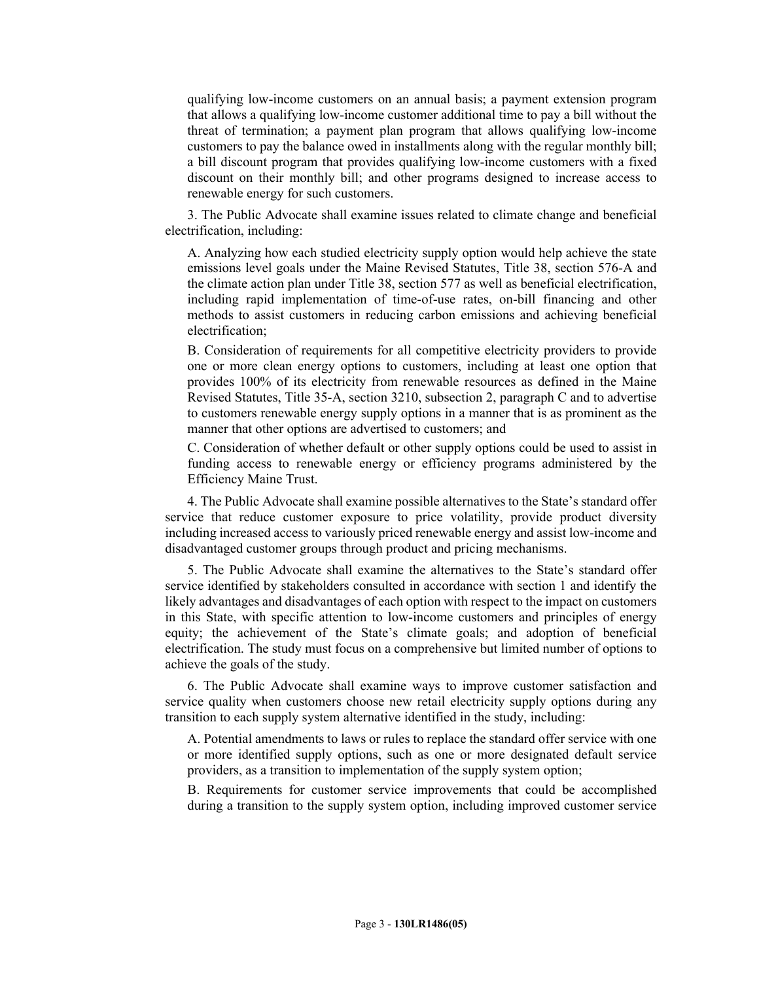qualifying low-income customers on an annual basis; a payment extension program that allows a qualifying low-income customer additional time to pay a bill without the threat of termination; a payment plan program that allows qualifying low-income customers to pay the balance owed in installments along with the regular monthly bill; a bill discount program that provides qualifying low-income customers with a fixed discount on their monthly bill; and other programs designed to increase access to renewable energy for such customers.

3. The Public Advocate shall examine issues related to climate change and beneficial electrification, including:

A. Analyzing how each studied electricity supply option would help achieve the state emissions level goals under the Maine Revised Statutes, Title 38, section 576-A and the climate action plan under Title 38, section 577 as well as beneficial electrification, including rapid implementation of time-of-use rates, on-bill financing and other methods to assist customers in reducing carbon emissions and achieving beneficial electrification;

B. Consideration of requirements for all competitive electricity providers to provide one or more clean energy options to customers, including at least one option that provides 100% of its electricity from renewable resources as defined in the Maine Revised Statutes, Title 35-A, section 3210, subsection 2, paragraph C and to advertise to customers renewable energy supply options in a manner that is as prominent as the manner that other options are advertised to customers; and

C. Consideration of whether default or other supply options could be used to assist in funding access to renewable energy or efficiency programs administered by the Efficiency Maine Trust.

4. The Public Advocate shall examine possible alternatives to the State's standard offer service that reduce customer exposure to price volatility, provide product diversity including increased access to variously priced renewable energy and assist low-income and disadvantaged customer groups through product and pricing mechanisms.

5. The Public Advocate shall examine the alternatives to the State's standard offer service identified by stakeholders consulted in accordance with section 1 and identify the likely advantages and disadvantages of each option with respect to the impact on customers in this State, with specific attention to low-income customers and principles of energy equity; the achievement of the State's climate goals; and adoption of beneficial electrification. The study must focus on a comprehensive but limited number of options to achieve the goals of the study.

6. The Public Advocate shall examine ways to improve customer satisfaction and service quality when customers choose new retail electricity supply options during any transition to each supply system alternative identified in the study, including:

A. Potential amendments to laws or rules to replace the standard offer service with one or more identified supply options, such as one or more designated default service providers, as a transition to implementation of the supply system option;

B. Requirements for customer service improvements that could be accomplished during a transition to the supply system option, including improved customer service